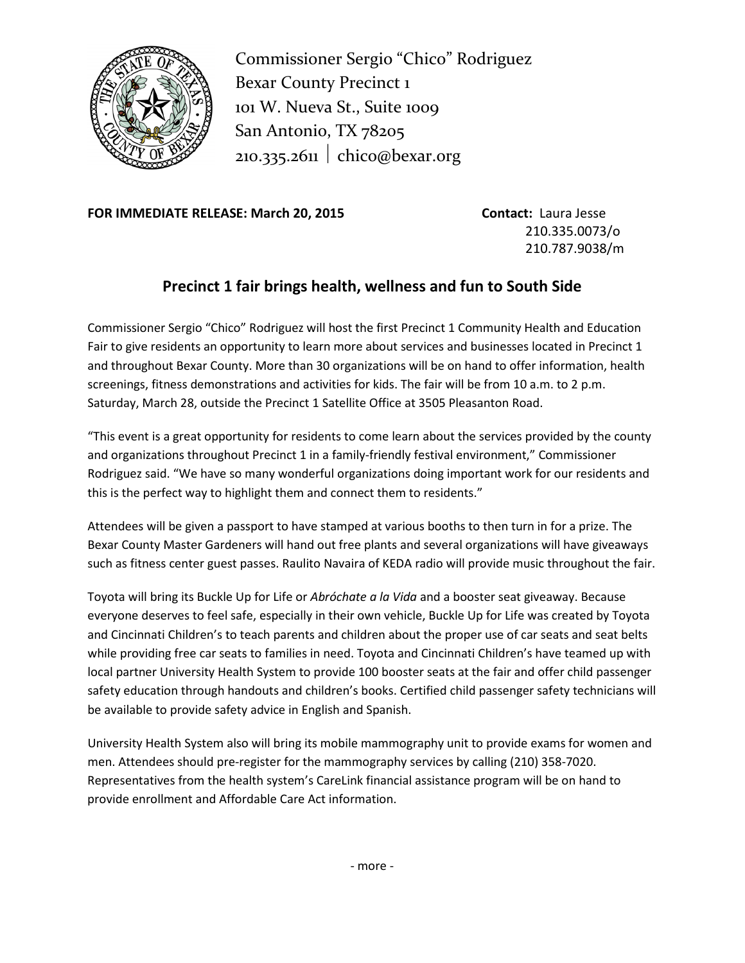

Commissioner Sergio "Chico" Rodriguez Bexar County Precinct 1 101 W. Nueva St., Suite 1009 San Antonio, TX 78205 210.335.2611 chico@bexar.org

**FOR IMMEDIATE RELEASE: March 20, 2015 Contact:** Laura Jesse

210.335.0073/o 210.787.9038/m

## **Precinct 1 fair brings health, wellness and fun to South Side**

Commissioner Sergio "Chico" Rodriguez will host the first Precinct 1 Community Health and Education Fair to give residents an opportunity to learn more about services and businesses located in Precinct 1 and throughout Bexar County. More than 30 organizations will be on hand to offer information, health screenings, fitness demonstrations and activities for kids. The fair will be from 10 a.m. to 2 p.m. Saturday, March 28, outside the Precinct 1 Satellite Office at 3505 Pleasanton Road.

"This event is a great opportunity for residents to come learn about the services provided by the county and organizations throughout Precinct 1 in a family-friendly festival environment," Commissioner Rodriguez said. "We have so many wonderful organizations doing important work for our residents and this is the perfect way to highlight them and connect them to residents."

Attendees will be given a passport to have stamped at various booths to then turn in for a prize. The Bexar County Master Gardeners will hand out free plants and several organizations will have giveaways such as fitness center guest passes. Raulito Navaira of KEDA radio will provide music throughout the fair.

Toyota will bring its Buckle Up for Life or *Abróchate a la Vida* and a booster seat giveaway. Because everyone deserves to feel safe, especially in their own vehicle, Buckle Up for Life was created by Toyota and Cincinnati Children's to teach parents and children about the proper use of car seats and seat belts while providing free car seats to families in need. Toyota and Cincinnati Children's have teamed up with local partner University Health System to provide 100 booster seats at the fair and offer child passenger safety education through handouts and children's books. Certified child passenger safety technicians will be available to provide safety advice in English and Spanish.

University Health System also will bring its mobile mammography unit to provide exams for women and men. Attendees should pre-register for the mammography services by calling (210) 358-7020. Representatives from the health system's CareLink financial assistance program will be on hand to provide enrollment and Affordable Care Act information.